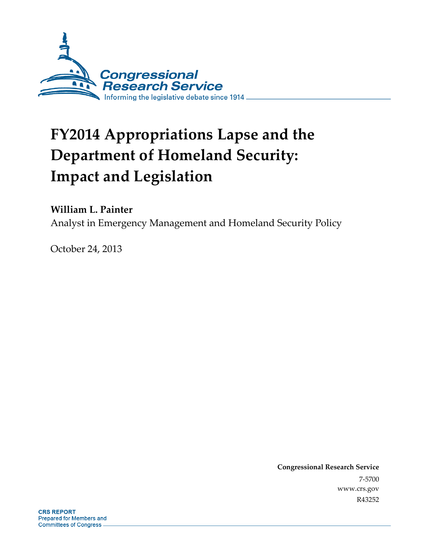

# **FY2014 Appropriations Lapse and the Department of Homeland Security: Impact and Legislation**

# **William L. Painter**

Analyst in Emergency Management and Homeland Security Policy

October 24, 2013

**Congressional Research Service**  7-5700 www.crs.gov R43252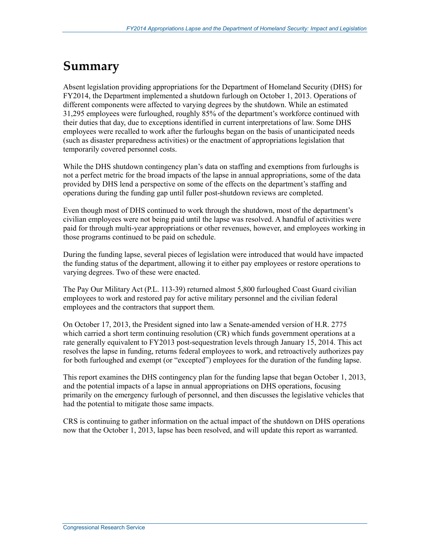# **Summary**

Absent legislation providing appropriations for the Department of Homeland Security (DHS) for FY2014, the Department implemented a shutdown furlough on October 1, 2013. Operations of different components were affected to varying degrees by the shutdown. While an estimated 31,295 employees were furloughed, roughly 85% of the department's workforce continued with their duties that day, due to exceptions identified in current interpretations of law. Some DHS employees were recalled to work after the furloughs began on the basis of unanticipated needs (such as disaster preparedness activities) or the enactment of appropriations legislation that temporarily covered personnel costs.

While the DHS shutdown contingency plan's data on staffing and exemptions from furloughs is not a perfect metric for the broad impacts of the lapse in annual appropriations, some of the data provided by DHS lend a perspective on some of the effects on the department's staffing and operations during the funding gap until fuller post-shutdown reviews are completed.

Even though most of DHS continued to work through the shutdown, most of the department's civilian employees were not being paid until the lapse was resolved. A handful of activities were paid for through multi-year appropriations or other revenues, however, and employees working in those programs continued to be paid on schedule.

During the funding lapse, several pieces of legislation were introduced that would have impacted the funding status of the department, allowing it to either pay employees or restore operations to varying degrees. Two of these were enacted.

The Pay Our Military Act (P.L. 113-39) returned almost 5,800 furloughed Coast Guard civilian employees to work and restored pay for active military personnel and the civilian federal employees and the contractors that support them.

On October 17, 2013, the President signed into law a Senate-amended version of H.R. 2775 which carried a short term continuing resolution (CR) which funds government operations at a rate generally equivalent to FY2013 post-sequestration levels through January 15, 2014. This act resolves the lapse in funding, returns federal employees to work, and retroactively authorizes pay for both furloughed and exempt (or "excepted") employees for the duration of the funding lapse.

This report examines the DHS contingency plan for the funding lapse that began October 1, 2013, and the potential impacts of a lapse in annual appropriations on DHS operations, focusing primarily on the emergency furlough of personnel, and then discusses the legislative vehicles that had the potential to mitigate those same impacts.

CRS is continuing to gather information on the actual impact of the shutdown on DHS operations now that the October 1, 2013, lapse has been resolved, and will update this report as warranted.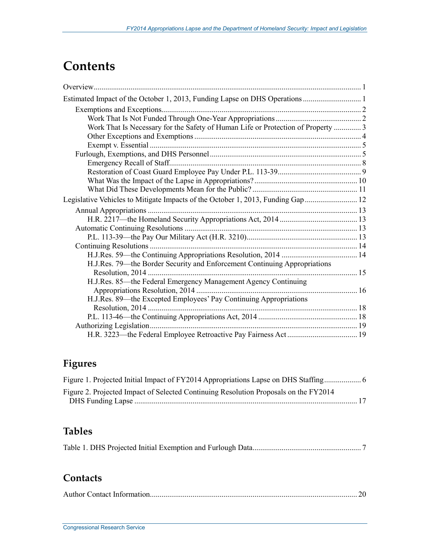# **Contents**

| Work That Is Necessary for the Safety of Human Life or Protection of Property  3 |  |
|----------------------------------------------------------------------------------|--|
|                                                                                  |  |
|                                                                                  |  |
|                                                                                  |  |
|                                                                                  |  |
|                                                                                  |  |
|                                                                                  |  |
|                                                                                  |  |
| Legislative Vehicles to Mitigate Impacts of the October 1, 2013, Funding Gap  12 |  |
|                                                                                  |  |
|                                                                                  |  |
|                                                                                  |  |
|                                                                                  |  |
|                                                                                  |  |
|                                                                                  |  |
| H.J.Res. 79—the Border Security and Enforcement Continuing Appropriations        |  |
|                                                                                  |  |
| H.J.Res. 85-the Federal Emergency Management Agency Continuing                   |  |
|                                                                                  |  |
| H.J.Res. 89—the Excepted Employees' Pay Continuing Appropriations                |  |
|                                                                                  |  |
|                                                                                  |  |
|                                                                                  |  |
|                                                                                  |  |

# **Figures**

| Figure 2. Projected Impact of Selected Continuing Resolution Proposals on the FY2014 |
|--------------------------------------------------------------------------------------|
|                                                                                      |

# **Tables**

|--|--|--|--|

# **Contacts**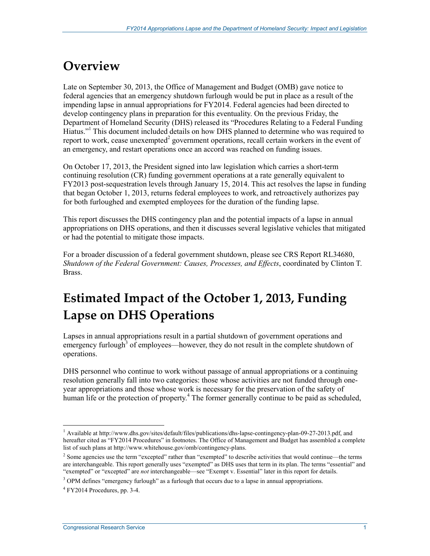# **Overview**

Late on September 30, 2013, the Office of Management and Budget (OMB) gave notice to federal agencies that an emergency shutdown furlough would be put in place as a result of the impending lapse in annual appropriations for FY2014. Federal agencies had been directed to develop contingency plans in preparation for this eventuality. On the previous Friday, the Department of Homeland Security (DHS) released its "Procedures Relating to a Federal Funding Hiatus."<sup>1</sup> This document included details on how DHS planned to determine who was required to report to work, cease unexempted $2$  government operations, recall certain workers in the event of an emergency, and restart operations once an accord was reached on funding issues.

On October 17, 2013, the President signed into law legislation which carries a short-term continuing resolution (CR) funding government operations at a rate generally equivalent to FY2013 post-sequestration levels through January 15, 2014. This act resolves the lapse in funding that began October 1, 2013, returns federal employees to work, and retroactively authorizes pay for both furloughed and exempted employees for the duration of the funding lapse.

This report discusses the DHS contingency plan and the potential impacts of a lapse in annual appropriations on DHS operations, and then it discusses several legislative vehicles that mitigated or had the potential to mitigate those impacts.

For a broader discussion of a federal government shutdown, please see CRS Report RL34680, *Shutdown of the Federal Government: Causes, Processes, and Effects*, coordinated by Clinton T. Brass.

# **Estimated Impact of the October 1, 2013, Funding Lapse on DHS Operations**

Lapses in annual appropriations result in a partial shutdown of government operations and emergency furlough<sup>3</sup> of employees—however, they do not result in the complete shutdown of operations.

DHS personnel who continue to work without passage of annual appropriations or a continuing resolution generally fall into two categories: those whose activities are not funded through oneyear appropriations and those whose work is necessary for the preservation of the safety of human life or the protection of property.<sup>4</sup> The former generally continue to be paid as scheduled,

 1 Available at http://www.dhs.gov/sites/default/files/publications/dhs-lapse-contingency-plan-09-27-2013.pdf, and hereafter cited as "FY2014 Procedures" in footnotes. The Office of Management and Budget has assembled a complete list of such plans at http://www.whitehouse.gov/omb/contingency-plans.

 $2$  Some agencies use the term "excepted" rather than "exempted" to describe activities that would continue—the terms are interchangeable. This report generally uses "exempted" as DHS uses that term in its plan. The terms "essential" and "exempted" or "excepted" are *not* interchangeable—see "Exempt v. Essential" later in this report for details.

 $3$  OPM defines "emergency furlough" as a furlough that occurs due to a lapse in annual appropriations.

 $4$  FY2014 Procedures, pp. 3-4.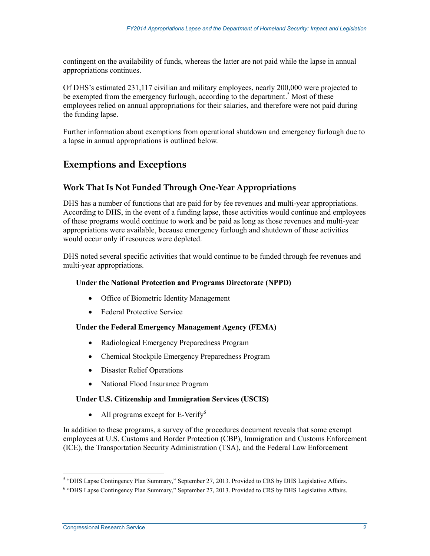contingent on the availability of funds, whereas the latter are not paid while the lapse in annual appropriations continues.

Of DHS's estimated 231,117 civilian and military employees, nearly 200,000 were projected to be exempted from the emergency furlough, according to the department.<sup>5</sup> Most of these employees relied on annual appropriations for their salaries, and therefore were not paid during the funding lapse.

Further information about exemptions from operational shutdown and emergency furlough due to a lapse in annual appropriations is outlined below.

# **Exemptions and Exceptions**

### **Work That Is Not Funded Through One-Year Appropriations**

DHS has a number of functions that are paid for by fee revenues and multi-year appropriations. According to DHS, in the event of a funding lapse, these activities would continue and employees of these programs would continue to work and be paid as long as those revenues and multi-year appropriations were available, because emergency furlough and shutdown of these activities would occur only if resources were depleted.

DHS noted several specific activities that would continue to be funded through fee revenues and multi-year appropriations.

#### **Under the National Protection and Programs Directorate (NPPD)**

- Office of Biometric Identity Management
- Federal Protective Service

#### **Under the Federal Emergency Management Agency (FEMA)**

- Radiological Emergency Preparedness Program
- Chemical Stockpile Emergency Preparedness Program
- Disaster Relief Operations
- National Flood Insurance Program

#### **Under U.S. Citizenship and Immigration Services (USCIS)**

• All programs except for E-Verify $^6$ 

In addition to these programs, a survey of the procedures document reveals that some exempt employees at U.S. Customs and Border Protection (CBP), Immigration and Customs Enforcement (ICE), the Transportation Security Administration (TSA), and the Federal Law Enforcement

 5 "DHS Lapse Contingency Plan Summary," September 27, 2013. Provided to CRS by DHS Legislative Affairs.

<sup>&</sup>lt;sup>6</sup> "DHS Lapse Contingency Plan Summary," September 27, 2013. Provided to CRS by DHS Legislative Affairs.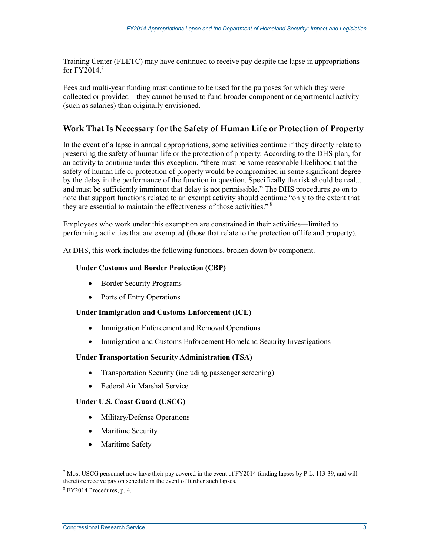Training Center (FLETC) may have continued to receive pay despite the lapse in appropriations for  $FY2014.<sup>7</sup>$ 

Fees and multi-year funding must continue to be used for the purposes for which they were collected or provided—they cannot be used to fund broader component or departmental activity (such as salaries) than originally envisioned.

### **Work That Is Necessary for the Safety of Human Life or Protection of Property**

In the event of a lapse in annual appropriations, some activities continue if they directly relate to preserving the safety of human life or the protection of property. According to the DHS plan, for an activity to continue under this exception, "there must be some reasonable likelihood that the safety of human life or protection of property would be compromised in some significant degree by the delay in the performance of the function in question. Specifically the risk should be real... and must be sufficiently imminent that delay is not permissible." The DHS procedures go on to note that support functions related to an exempt activity should continue "only to the extent that they are essential to maintain the effectiveness of those activities."<sup>8</sup>

Employees who work under this exemption are constrained in their activities—limited to performing activities that are exempted (those that relate to the protection of life and property).

At DHS, this work includes the following functions, broken down by component.

#### **Under Customs and Border Protection (CBP)**

- Border Security Programs
- Ports of Entry Operations

#### **Under Immigration and Customs Enforcement (ICE)**

- Immigration Enforcement and Removal Operations
- Immigration and Customs Enforcement Homeland Security Investigations

#### **Under Transportation Security Administration (TSA)**

- Transportation Security (including passenger screening)
- Federal Air Marshal Service

#### **Under U.S. Coast Guard (USCG)**

- Military/Defense Operations
- Maritime Security
- Maritime Safety

<sup>&</sup>lt;sup>7</sup> Most USCG personnel now have their pay covered in the event of FY2014 funding lapses by P.L. 113-39, and will therefore receive pay on schedule in the event of further such lapses.

<sup>8</sup> FY2014 Procedures, p. 4.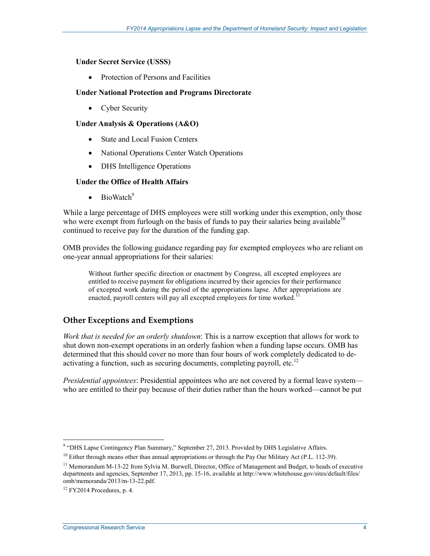#### **Under Secret Service (USSS)**

• Protection of Persons and Facilities

#### **Under National Protection and Programs Directorate**

• Cyber Security

### **Under Analysis & Operations (A&O)**

- State and Local Fusion Centers
- National Operations Center Watch Operations
- DHS Intelligence Operations

### **Under the Office of Health Affairs**

• BioWatch $9$ 

While a large percentage of DHS employees were still working under this exemption, only those who were exempt from furlough on the basis of funds to pay their salaries being available<sup>10</sup> continued to receive pay for the duration of the funding gap.

OMB provides the following guidance regarding pay for exempted employees who are reliant on one-year annual appropriations for their salaries:

Without further specific direction or enactment by Congress, all excepted employees are entitled to receive payment for obligations incurred by their agencies for their performance of excepted work during the period of the appropriations lapse. After appropriations are enacted, payroll centers will pay all excepted employees for time worked.<sup>11</sup>

## **Other Exceptions and Exemptions**

*Work that is needed for an orderly shutdown*: This is a narrow exception that allows for work to shut down non-exempt operations in an orderly fashion when a funding lapse occurs. OMB has determined that this should cover no more than four hours of work completely dedicated to deactivating a function, such as securing documents, completing payroll, etc.<sup>12</sup>

*Presidential appointees*: Presidential appointees who are not covered by a formal leave system who are entitled to their pay because of their duties rather than the hours worked—cannot be put

We we also the Contingency Plan Summary," September 27, 2013. Provided by DHS Legislative Affairs.

 $10$  Either through means other than annual appropriations or through the Pay Our Military Act (P.L. 112-39).

<sup>&</sup>lt;sup>11</sup> Memorandum M-13-22 from Sylvia M. Burwell, Director, Office of Management and Budget, to heads of executive departments and agencies, September 17, 2013, pp. 15-16, available at http://www.whitehouse.gov/sites/default/files/ omb/memoranda/2013/m-13-22.pdf.

 $12$  FY2014 Procedures, p. 4.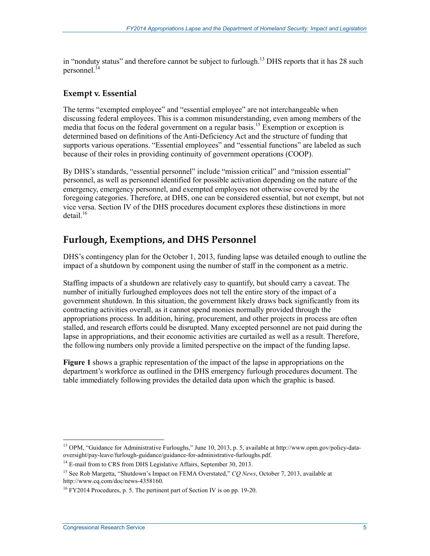in "nonduty status" and therefore cannot be subject to furlough.<sup>13</sup> DHS reports that it has 28 such personnel.<sup>14</sup>

### **Exempt v. Essential**

The terms "exempted employee" and "essential employee" are not interchangeable when discussing federal employees. This is a common misunderstanding, even among members of the media that focus on the federal government on a regular basis.<sup>15</sup> Exemption or exception is determined based on definitions of the Anti-Deficiency Act and the structure of funding that supports various operations. "Essential employees" and "essential functions" are labeled as such because of their roles in providing continuity of government operations (COOP).

By DHS's standards, "essential personnel" include "mission critical" and "mission essential" personnel, as well as personnel identified for possible activation depending on the nature of the emergency, emergency personnel, and exempted employees not otherwise covered by the foregoing categories. Therefore, at DHS, one can be considered essential, but not exempt, but not vice versa. Section IV of the DHS procedures document explores these distinctions in more  $\text{detail}^{16}$ 

# **Furlough, Exemptions, and DHS Personnel**

DHS's contingency plan for the October 1, 2013, funding lapse was detailed enough to outline the impact of a shutdown by component using the number of staff in the component as a metric.

Staffing impacts of a shutdown are relatively easy to quantify, but should carry a caveat. The number of initially furloughed employees does not tell the entire story of the impact of a government shutdown. In this situation, the government likely draws back significantly from its contracting activities overall, as it cannot spend monies normally provided through the appropriations process. In addition, hiring, procurement, and other projects in process are often stalled, and research efforts could be disrupted. Many excepted personnel are not paid during the lapse in appropriations, and their economic activities are curtailed as well as a result. Therefore, the following numbers only provide a limited perspective on the impact of the funding lapse.

**Figure 1** shows a graphic representation of the impact of the lapse in appropriations on the department's workforce as outlined in the DHS emergency furlough procedures document. The table immediately following provides the detailed data upon which the graphic is based.

<sup>&</sup>lt;sup>13</sup> OPM, "Guidance for Administrative Furloughs," June 10, 2013, p. 5, available at http://www.opm.gov/policy-dataoversight/pay-leave/furlough-guidance/guidance-for-administrative-furloughs.pdf.

<sup>&</sup>lt;sup>14</sup> E-mail from to CRS from DHS Legislative Affairs, September 30, 2013.

<sup>&</sup>lt;sup>15</sup> See Rob Margetta, "Shutdown's Impact on FEMA Overstated," *CQ News*, October 7, 2013, available at http://www.cq.com/doc/news-4358160.

 $16$  FY2014 Procedures, p. 5. The pertinent part of Section IV is on pp. 19-20.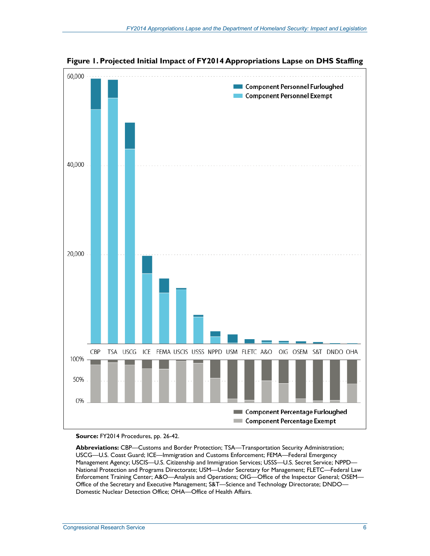

**Figure 1. Projected Initial Impact of FY2014 Appropriations Lapse on DHS Staffing** 

#### **Source:** FY2014 Procedures, pp. 26-42.

Abbreviations: CBP—Customs and Border Protection; TSA—Transportation Security Administration; USCG—U.S. Coast Guard; ICE—Immigration and Customs Enforcement; FEMA—Federal Emergency Management Agency; USCIS—U.S. Citizenship and Immigration Services; USSS—U.S. Secret Service; NPPD— National Protection and Programs Directorate; USM—Under Secretary for Management; FLETC—Federal Law Enforcement Training Center; A&O—Analysis and Operations; OIG—Office of the Inspector General; OSEM— Office of the Secretary and Executive Management; S&T—Science and Technology Directorate; DNDO— Domestic Nuclear Detection Office; OHA—Office of Health Affairs.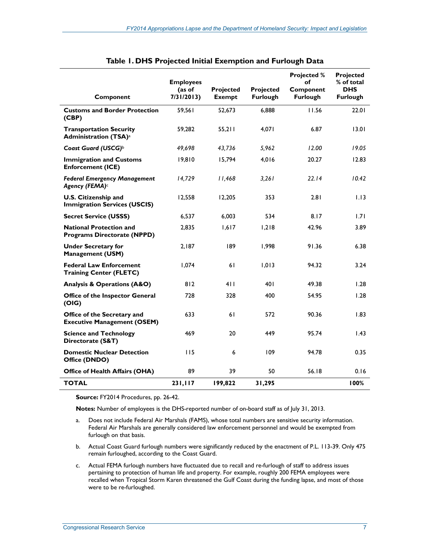| Component                                                                  | <b>Employees</b><br>(as of<br>7/31/2013 | Projected<br><b>Exempt</b> | <b>Projected</b><br><b>Furlough</b> | <b>Projected %</b><br>оf<br>Component<br><b>Furlough</b> | Projected<br>% of total<br><b>DHS</b><br><b>Furlough</b> |
|----------------------------------------------------------------------------|-----------------------------------------|----------------------------|-------------------------------------|----------------------------------------------------------|----------------------------------------------------------|
| <b>Customs and Border Protection</b><br>(CBP)                              | 59,561                                  | 52,673                     | 6,888                               | 11.56                                                    | 22.01                                                    |
| <b>Transportation Security</b><br><b>Administration (TSA)</b> <sup>a</sup> | 59,282                                  | 55,211                     | 4,071                               | 6.87                                                     | 13.01                                                    |
| Coast Guard (USCG) <sup>b</sup>                                            | 49,698                                  | 43,736                     | 5,962                               | 12.00                                                    | 19.05                                                    |
| <b>Immigration and Customs</b><br><b>Enforcement (ICE)</b>                 | 19,810                                  | 15,794                     | 4,016                               | 20.27                                                    | 12.83                                                    |
| <b>Federal Emergency Management</b><br>Agency (FEMA) <sup>c</sup>          | 14,729                                  | 11,468                     | 3,261                               | 22.14                                                    | 10.42                                                    |
| <b>U.S. Citizenship and</b><br><b>Immigration Services (USCIS)</b>         | 12,558                                  | 12,205                     | 353                                 | 2.81                                                     | 1.13                                                     |
| <b>Secret Service (USSS)</b>                                               | 6,537                                   | 6,003                      | 534                                 | 8.17                                                     | 1.71                                                     |
| <b>National Protection and</b><br><b>Programs Directorate (NPPD)</b>       | 2,835                                   | 1,617                      | 1,218                               | 42.96                                                    | 3.89                                                     |
| <b>Under Secretary for</b><br><b>Management (USM)</b>                      | 2,187                                   | 189                        | 1,998                               | 91.36                                                    | 6.38                                                     |
| <b>Federal Law Enforcement</b><br><b>Training Center (FLETC)</b>           | 1,074                                   | 61                         | 1,013                               | 94.32                                                    | 3.24                                                     |
| <b>Analysis &amp; Operations (A&amp;O)</b>                                 | 812                                     | 411                        | 401                                 | 49.38                                                    | 1.28                                                     |
| Office of the Inspector General<br>(OIG)                                   | 728                                     | 328                        | 400                                 | 54.95                                                    | 1.28                                                     |
| Office of the Secretary and<br><b>Executive Management (OSEM)</b>          | 633                                     | 61                         | 572                                 | 90.36                                                    | 1.83                                                     |
| <b>Science and Technology</b><br>Directorate (S&T)                         | 469                                     | 20                         | 449                                 | 95.74                                                    | 1.43                                                     |
| <b>Domestic Nuclear Detection</b><br>Office (DNDO)                         | 115                                     | 6                          | 109                                 | 94.78                                                    | 0.35                                                     |
| Office of Health Affairs (OHA)                                             | 89                                      | 39                         | 50                                  | 56.18                                                    | 0.16                                                     |
| <b>TOTAL</b>                                                               | 231,117                                 | 199,822                    | 31,295                              |                                                          | 100%                                                     |

| Table 1. DHS Projected Initial Exemption and Furlough Data |  |  |  |  |  |
|------------------------------------------------------------|--|--|--|--|--|
|------------------------------------------------------------|--|--|--|--|--|

**Source:** FY2014 Procedures, pp. 26-42.

**Notes:** Number of employees is the DHS-reported number of on-board staff as of July 31, 2013.

- a. Does not include Federal Air Marshals (FAMS), whose total numbers are sensitive security information. Federal Air Marshals are generally considered law enforcement personnel and would be exempted from furlough on that basis.
- b. Actual Coast Guard furlough numbers were significantly reduced by the enactment of P.L. 113-39. Only 475 remain furloughed, according to the Coast Guard.
- c. Actual FEMA furlough numbers have fluctuated due to recall and re-furlough of staff to address issues pertaining to protection of human life and property. For example, roughly 200 FEMA employees were recalled when Tropical Storm Karen threatened the Gulf Coast during the funding lapse, and most of those were to be re-furloughed.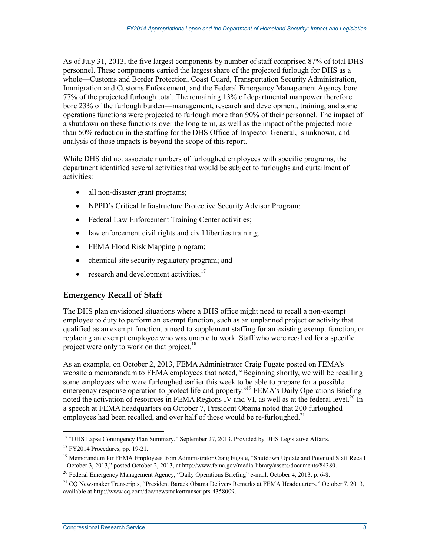As of July 31, 2013, the five largest components by number of staff comprised 87% of total DHS personnel. These components carried the largest share of the projected furlough for DHS as a whole—Customs and Border Protection, Coast Guard, Transportation Security Administration, Immigration and Customs Enforcement, and the Federal Emergency Management Agency bore 77% of the projected furlough total. The remaining 13% of departmental manpower therefore bore 23% of the furlough burden—management, research and development, training, and some operations functions were projected to furlough more than 90% of their personnel. The impact of a shutdown on these functions over the long term, as well as the impact of the projected more than 50% reduction in the staffing for the DHS Office of Inspector General, is unknown, and analysis of those impacts is beyond the scope of this report.

While DHS did not associate numbers of furloughed employees with specific programs, the department identified several activities that would be subject to furloughs and curtailment of activities:

- all non-disaster grant programs;
- NPPD's Critical Infrastructure Protective Security Advisor Program;
- Federal Law Enforcement Training Center activities;
- law enforcement civil rights and civil liberties training;
- FEMA Flood Risk Mapping program;
- chemical site security regulatory program; and
- research and development activities. $17$

## **Emergency Recall of Staff**

The DHS plan envisioned situations where a DHS office might need to recall a non-exempt employee to duty to perform an exempt function, such as an unplanned project or activity that qualified as an exempt function, a need to supplement staffing for an existing exempt function, or replacing an exempt employee who was unable to work. Staff who were recalled for a specific project were only to work on that project.<sup>18</sup>

As an example, on October 2, 2013, FEMA Administrator Craig Fugate posted on FEMA's website a memorandum to FEMA employees that noted, "Beginning shortly, we will be recalling some employees who were furloughed earlier this week to be able to prepare for a possible emergency response operation to protect life and property."<sup>19</sup> FEMA's Daily Operations Briefing noted the activation of resources in FEMA Regions IV and VI, as well as at the federal level.<sup>20</sup> In a speech at FEMA headquarters on October 7, President Obama noted that 200 furloughed employees had been recalled, and over half of those would be re-furloughed.<sup>21</sup>

<sup>1</sup> <sup>17</sup> "DHS Lapse Contingency Plan Summary," September 27, 2013. Provided by DHS Legislative Affairs.

<sup>18</sup> FY2014 Procedures, pp. 19-21.

<sup>&</sup>lt;sup>19</sup> Memorandum for FEMA Employees from Administrator Craig Fugate, "Shutdown Update and Potential Staff Recall - October 3, 2013," posted October 2, 2013, at http://www.fema.gov/media-library/assets/documents/84380.

<sup>&</sup>lt;sup>20</sup> Federal Emergency Management Agency, "Daily Operations Briefing" e-mail, October 4, 2013, p. 6-8.

<sup>&</sup>lt;sup>21</sup> CO Newsmaker Transcripts, "President Barack Obama Delivers Remarks at FEMA Headquarters," October 7, 2013, available at http://www.cq.com/doc/newsmakertranscripts-4358009.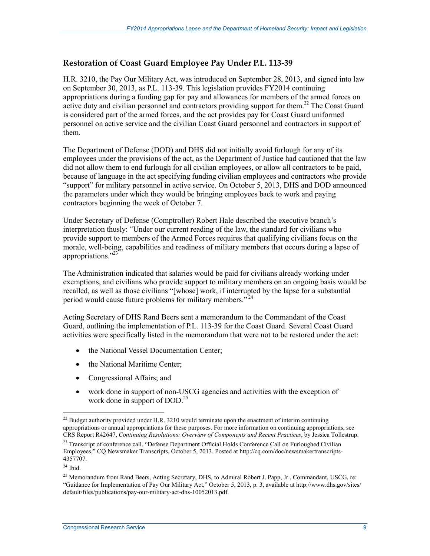### **Restoration of Coast Guard Employee Pay Under P.L. 113-39**

H.R. 3210, the Pay Our Military Act, was introduced on September 28, 2013, and signed into law on September 30, 2013, as P.L. 113-39. This legislation provides FY2014 continuing appropriations during a funding gap for pay and allowances for members of the armed forces on active duty and civilian personnel and contractors providing support for them.<sup>22</sup> The Coast Guard is considered part of the armed forces, and the act provides pay for Coast Guard uniformed personnel on active service and the civilian Coast Guard personnel and contractors in support of them.

The Department of Defense (DOD) and DHS did not initially avoid furlough for any of its employees under the provisions of the act, as the Department of Justice had cautioned that the law did not allow them to end furlough for all civilian employees, or allow all contractors to be paid, because of language in the act specifying funding civilian employees and contractors who provide "support" for military personnel in active service. On October 5, 2013, DHS and DOD announced the parameters under which they would be bringing employees back to work and paying contractors beginning the week of October 7.

Under Secretary of Defense (Comptroller) Robert Hale described the executive branch's interpretation thusly: "Under our current reading of the law, the standard for civilians who provide support to members of the Armed Forces requires that qualifying civilians focus on the morale, well-being, capabilities and readiness of military members that occurs during a lapse of appropriations."<sup>23</sup>

The Administration indicated that salaries would be paid for civilians already working under exemptions, and civilians who provide support to military members on an ongoing basis would be recalled, as well as those civilians "[whose] work, if interrupted by the lapse for a substantial period would cause future problems for military members. $^{24}$ 

Acting Secretary of DHS Rand Beers sent a memorandum to the Commandant of the Coast Guard, outlining the implementation of P.L. 113-39 for the Coast Guard. Several Coast Guard activities were specifically listed in the memorandum that were not to be restored under the act:

- the National Vessel Documentation Center;
- the National Maritime Center;
- Congressional Affairs; and
- work done in support of non-USCG agencies and activities with the exception of work done in support of DOD.<sup>25</sup>

<sup>1</sup>  $^{22}$  Budget authority provided under H.R. 3210 would terminate upon the enactment of interim continuing appropriations or annual appropriations for these purposes. For more information on continuing appropriations, see CRS Report R42647, *Continuing Resolutions: Overview of Components and Recent Practices*, by Jessica Tollestrup.

<sup>&</sup>lt;sup>23</sup> Transcript of conference call. "Defense Department Official Holds Conference Call on Furloughed Civilian Employees," CQ Newsmaker Transcripts, October 5, 2013. Posted at http://cq.com/doc/newsmakertranscripts-4357707.

 $24$  Ibid.

<sup>&</sup>lt;sup>25</sup> Memorandum from Rand Beers, Acting Secretary, DHS, to Admiral Robert J. Papp, Jr., Commandant, USCG, re: "Guidance for Implementation of Pay Our Military Act," October 5, 2013, p. 3, available at http://www.dhs.gov/sites/ default/files/publications/pay-our-military-act-dhs-10052013.pdf.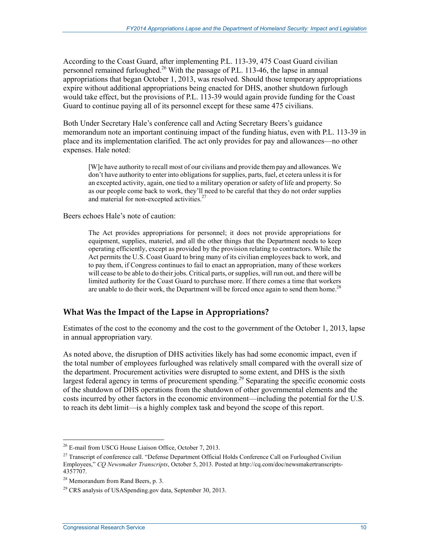According to the Coast Guard, after implementing P.L. 113-39, 475 Coast Guard civilian personnel remained furloughed.<sup>26</sup> With the passage of P.L. 113-46, the lapse in annual appropriations that began October 1, 2013, was resolved. Should those temporary appropriations expire without additional appropriations being enacted for DHS, another shutdown furlough would take effect, but the provisions of P.L. 113-39 would again provide funding for the Coast Guard to continue paying all of its personnel except for these same 475 civilians.

Both Under Secretary Hale's conference call and Acting Secretary Beers's guidance memorandum note an important continuing impact of the funding hiatus, even with P.L. 113-39 in place and its implementation clarified. The act only provides for pay and allowances—no other expenses. Hale noted:

[W]e have authority to recall most of our civilians and provide them pay and allowances. We don't have authority to enter into obligations for supplies, parts, fuel, et cetera unless it is for an excepted activity, again, one tied to a military operation or safety of life and property. So as our people come back to work, they'll need to be careful that they do not order supplies and material for non-excepted activities.<sup>27</sup>

Beers echoes Hale's note of caution:

The Act provides appropriations for personnel; it does not provide appropriations for equipment, supplies, materiel, and all the other things that the Department needs to keep operating efficiently, except as provided by the provision relating to contractors. While the Act permits the U.S. Coast Guard to bring many of its civilian employees back to work, and to pay them, if Congress continues to fail to enact an appropriation, many of these workers will cease to be able to do their jobs. Critical parts, or supplies, will run out, and there will be limited authority for the Coast Guard to purchase more. If there comes a time that workers are unable to do their work, the Department will be forced once again to send them home.<sup>28</sup>

## **What Was the Impact of the Lapse in Appropriations?**

Estimates of the cost to the economy and the cost to the government of the October 1, 2013, lapse in annual appropriation vary.

As noted above, the disruption of DHS activities likely has had some economic impact, even if the total number of employees furloughed was relatively small compared with the overall size of the department. Procurement activities were disrupted to some extent, and DHS is the sixth largest federal agency in terms of procurement spending.<sup>29</sup> Separating the specific economic costs of the shutdown of DHS operations from the shutdown of other governmental elements and the costs incurred by other factors in the economic environment—including the potential for the U.S. to reach its debt limit—is a highly complex task and beyond the scope of this report.

<sup>1</sup> 26 E-mail from USCG House Liaison Office, October 7, 2013.

<sup>&</sup>lt;sup>27</sup> Transcript of conference call. "Defense Department Official Holds Conference Call on Furloughed Civilian Employees," *CQ Newsmaker Transcripts*, October 5, 2013. Posted at http://cq.com/doc/newsmakertranscripts-4357707.

<sup>28</sup> Memorandum from Rand Beers, p. 3.

 $29$  CRS analysis of USASpending.gov data, September 30, 2013.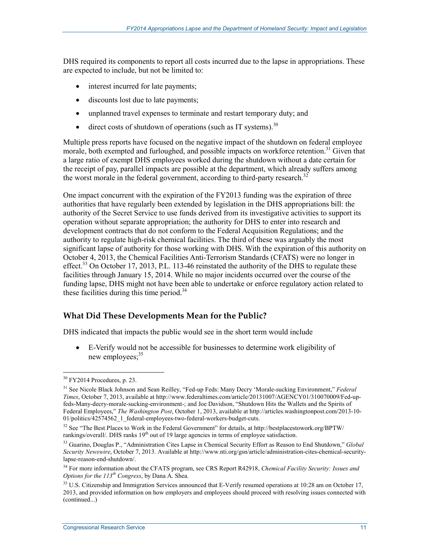DHS required its components to report all costs incurred due to the lapse in appropriations. These are expected to include, but not be limited to:

- interest incurred for late payments;
- discounts lost due to late payments;
- unplanned travel expenses to terminate and restart temporary duty; and
- direct costs of shutdown of operations (such as IT systems).<sup>30</sup>

Multiple press reports have focused on the negative impact of the shutdown on federal employee morale, both exempted and furloughed, and possible impacts on workforce retention.<sup>31</sup> Given that a large ratio of exempt DHS employees worked during the shutdown without a date certain for the receipt of pay, parallel impacts are possible at the department, which already suffers among the worst morale in the federal government, according to third-party research.<sup>32</sup>

One impact concurrent with the expiration of the FY2013 funding was the expiration of three authorities that have regularly been extended by legislation in the DHS appropriations bill: the authority of the Secret Service to use funds derived from its investigative activities to support its operation without separate appropriation; the authority for DHS to enter into research and development contracts that do not conform to the Federal Acquisition Regulations; and the authority to regulate high-risk chemical facilities. The third of these was arguably the most significant lapse of authority for those working with DHS. With the expiration of this authority on October 4, 2013, the Chemical Facilities Anti-Terrorism Standards (CFATS) were no longer in effect.<sup>33</sup> On October 17, 2013, P.L. 113-46 reinstated the authority of the DHS to regulate these facilities through January 15, 2014. While no major incidents occurred over the course of the funding lapse, DHS might not have been able to undertake or enforce regulatory action related to these facilities during this time period.<sup>34</sup>

## **What Did These Developments Mean for the Public?**

DHS indicated that impacts the public would see in the short term would include

• E-Verify would not be accessible for businesses to determine work eligibility of new employees;<sup>35</sup>

<sup>1</sup> 30 FY2014 Procedures, p. 23.

<sup>31</sup> See Nicole Black Johnson and Sean Reilley, "Fed-up Feds: Many Decry 'Morale-sucking Environment," *Federal Times*, October 7, 2013, available at http://www.federaltimes.com/article/20131007/AGENCY01/310070009/Fed-upfeds-Many-decry-morale-sucking-environment-; and Joe Davidson, "Shutdown Hits the Wallets and the Spirits of Federal Employees," *The Washington Post*, October 1, 2013, available at http://articles.washingtonpost.com/2013-10- 01/politics/42574562\_1\_federal-employees-two-federal-workers-budget-cuts.

 $32$  See "The Best Places to Work in the Federal Government" for details, at http://bestplacestowork.org/BPTW/ rankings/overall/. DHS ranks 19<sup>th</sup> out of 19 large agencies in terms of employee satisfaction.

<sup>33</sup> Guarino, Douglas P., "Administration Cites Lapse in Chemical Security Effort as Reason to End Shutdown," *Global Security Newswire*, October 7, 2013. Available at http://www.nti.org/gsn/article/administration-cites-chemical-securitylapse-reason-end-shutdown/.

<sup>34</sup> For more information about the CFATS program, see CRS Report R42918, *Chemical Facility Security: Issues and Options for the 113th Congress*, by Dana A. Shea.

 $35$  U.S. Citizenship and Immigration Services announced that E-Verify resumed operations at 10:28 am on October 17, 2013, and provided information on how employers and employees should proceed with resolving issues connected with (continued...)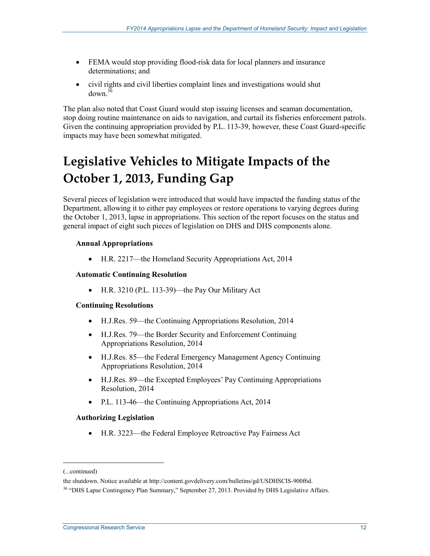- FEMA would stop providing flood-risk data for local planners and insurance determinations; and
- civil rights and civil liberties complaint lines and investigations would shut  $d$ own  $3\overline{6}$

The plan also noted that Coast Guard would stop issuing licenses and seaman documentation, stop doing routine maintenance on aids to navigation, and curtail its fisheries enforcement patrols. Given the continuing appropriation provided by P.L. 113-39, however, these Coast Guard-specific impacts may have been somewhat mitigated.

# **Legislative Vehicles to Mitigate Impacts of the October 1, 2013, Funding Gap**

Several pieces of legislation were introduced that would have impacted the funding status of the Department, allowing it to either pay employees or restore operations to varying degrees during the October 1, 2013, lapse in appropriations. This section of the report focuses on the status and general impact of eight such pieces of legislation on DHS and DHS components alone.

### **Annual Appropriations**

• H.R. 2217—the Homeland Security Appropriations Act, 2014

#### **Automatic Continuing Resolution**

• H.R. 3210 (P.L. 113-39)—the Pay Our Military Act

#### **Continuing Resolutions**

- H.J.Res. 59—the Continuing Appropriations Resolution, 2014
- H.J.Res. 79—the Border Security and Enforcement Continuing Appropriations Resolution, 2014
- H.J.Res. 85—the Federal Emergency Management Agency Continuing Appropriations Resolution, 2014
- H.J.Res. 89—the Excepted Employees' Pay Continuing Appropriations Resolution, 2014
- P.L. 113-46—the Continuing Appropriations Act, 2014

#### **Authorizing Legislation**

• H.R. 3223—the Federal Employee Retroactive Pay Fairness Act

<sup>(...</sup>continued)

the shutdown. Notice available at http://content.govdelivery.com/bulletins/gd/USDHSCIS-900f6d.

<sup>&</sup>lt;sup>36</sup> "DHS Lapse Contingency Plan Summary," September 27, 2013. Provided by DHS Legislative Affairs.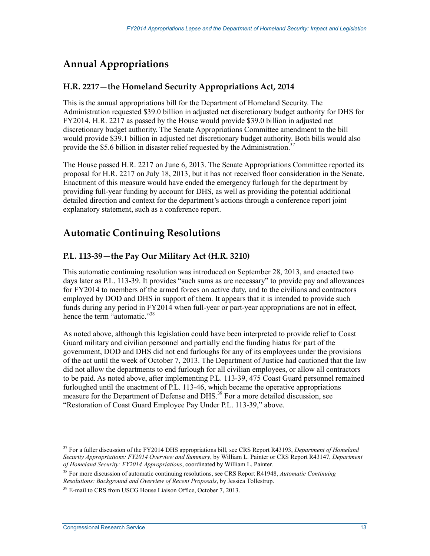# **Annual Appropriations**

## **H.R. 2217—the Homeland Security Appropriations Act, 2014**

This is the annual appropriations bill for the Department of Homeland Security. The Administration requested \$39.0 billion in adjusted net discretionary budget authority for DHS for FY2014. H.R. 2217 as passed by the House would provide \$39.0 billion in adjusted net discretionary budget authority. The Senate Appropriations Committee amendment to the bill would provide \$39.1 billion in adjusted net discretionary budget authority. Both bills would also provide the \$5.6 billion in disaster relief requested by the Administration.<sup>37</sup>

The House passed H.R. 2217 on June 6, 2013. The Senate Appropriations Committee reported its proposal for H.R. 2217 on July 18, 2013, but it has not received floor consideration in the Senate. Enactment of this measure would have ended the emergency furlough for the department by providing full-year funding by account for DHS, as well as providing the potential additional detailed direction and context for the department's actions through a conference report joint explanatory statement, such as a conference report.

# **Automatic Continuing Resolutions**

## **P.L. 113-39—the Pay Our Military Act (H.R. 3210)**

This automatic continuing resolution was introduced on September 28, 2013, and enacted two days later as P.L. 113-39. It provides "such sums as are necessary" to provide pay and allowances for FY2014 to members of the armed forces on active duty, and to the civilians and contractors employed by DOD and DHS in support of them. It appears that it is intended to provide such funds during any period in FY2014 when full-year or part-year appropriations are not in effect, hence the term "automatic."<sup>38</sup>

As noted above, although this legislation could have been interpreted to provide relief to Coast Guard military and civilian personnel and partially end the funding hiatus for part of the government, DOD and DHS did not end furloughs for any of its employees under the provisions of the act until the week of October 7, 2013. The Department of Justice had cautioned that the law did not allow the departments to end furlough for all civilian employees, or allow all contractors to be paid. As noted above, after implementing P.L. 113-39, 475 Coast Guard personnel remained furloughed until the enactment of P.L. 113-46, which became the operative appropriations measure for the Department of Defense and DHS.<sup>39</sup> For a more detailed discussion, see "Restoration of Coast Guard Employee Pay Under P.L. 113-39," above.

<sup>37</sup> For a fuller discussion of the FY2014 DHS appropriations bill, see CRS Report R43193, *Department of Homeland Security Appropriations: FY2014 Overview and Summary*, by William L. Painter or CRS Report R43147, *Department of Homeland Security: FY2014 Appropriations*, coordinated by William L. Painter*.*

<sup>38</sup> For more discussion of automatic continuing resolutions, see CRS Report R41948, *Automatic Continuing Resolutions: Background and Overview of Recent Proposals*, by Jessica Tollestrup.

<sup>&</sup>lt;sup>39</sup> E-mail to CRS from USCG House Liaison Office, October 7, 2013.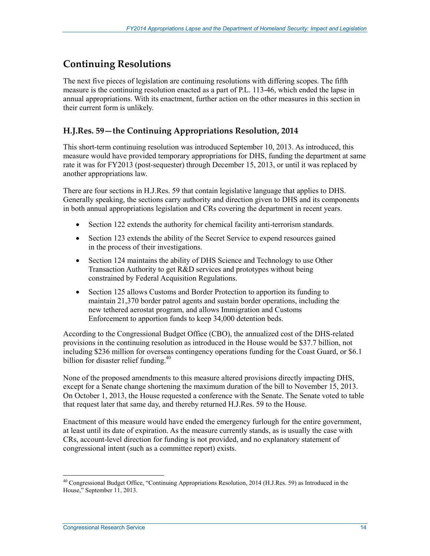# **Continuing Resolutions**

The next five pieces of legislation are continuing resolutions with differing scopes. The fifth measure is the continuing resolution enacted as a part of P.L. 113-46, which ended the lapse in annual appropriations. With its enactment, further action on the other measures in this section in their current form is unlikely.

## **H.J.Res. 59—the Continuing Appropriations Resolution, 2014**

This short-term continuing resolution was introduced September 10, 2013. As introduced, this measure would have provided temporary appropriations for DHS, funding the department at same rate it was for FY2013 (post-sequester) through December 15, 2013, or until it was replaced by another appropriations law.

There are four sections in H.J.Res. 59 that contain legislative language that applies to DHS. Generally speaking, the sections carry authority and direction given to DHS and its components in both annual appropriations legislation and CRs covering the department in recent years.

- Section 122 extends the authority for chemical facility anti-terrorism standards.
- Section 123 extends the ability of the Secret Service to expend resources gained in the process of their investigations.
- Section 124 maintains the ability of DHS Science and Technology to use Other Transaction Authority to get R&D services and prototypes without being constrained by Federal Acquisition Regulations.
- Section 125 allows Customs and Border Protection to apportion its funding to maintain 21,370 border patrol agents and sustain border operations, including the new tethered aerostat program, and allows Immigration and Customs Enforcement to apportion funds to keep 34,000 detention beds.

According to the Congressional Budget Office (CBO), the annualized cost of the DHS-related provisions in the continuing resolution as introduced in the House would be \$37.7 billion, not including \$236 million for overseas contingency operations funding for the Coast Guard, or \$6.1 billion for disaster relief funding. $40$ 

None of the proposed amendments to this measure altered provisions directly impacting DHS, except for a Senate change shortening the maximum duration of the bill to November 15, 2013. On October 1, 2013, the House requested a conference with the Senate. The Senate voted to table that request later that same day, and thereby returned H.J.Res. 59 to the House.

Enactment of this measure would have ended the emergency furlough for the entire government, at least until its date of expiration. As the measure currently stands, as is usually the case with CRs, account-level direction for funding is not provided, and no explanatory statement of congressional intent (such as a committee report) exists.

 $^{40}$  Congressional Budget Office, "Continuing Appropriations Resolution, 2014 (H.J.Res. 59) as Introduced in the House," September 11, 2013.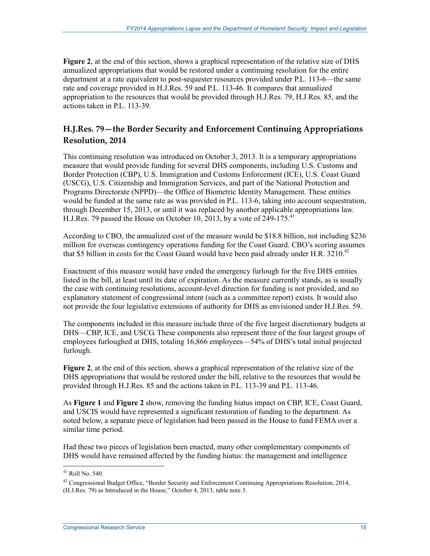**Figure 2**, at the end of this section, shows a graphical representation of the relative size of DHS annualized appropriations that would be restored under a continuing resolution for the entire department at a rate equivalent to post-sequester resources provided under P.L. 113-6—the same rate and coverage provided in H.J.Res. 59 and P.L. 113-46. It compares that annualized appropriation to the resources that would be provided through H.J.Res. 79, H.J.Res. 85, and the actions taken in  $PI. 113-39$ .

# **H.J.Res. 79—the Border Security and Enforcement Continuing Appropriations Resolution, 2014**

This continuing resolution was introduced on October 3, 2013. It is a temporary appropriations measure that would provide funding for several DHS components, including U.S. Customs and Border Protection (CBP), U.S. Immigration and Customs Enforcement (ICE), U.S. Coast Guard (USCG), U.S. Citizenship and Immigration Services, and part of the National Protection and Programs Directorate (NPPD)—the Office of Biometric Identity Management. These entities would be funded at the same rate as was provided in P.L. 113-6, taking into account sequestration, through December 15, 2013, or until it was replaced by another applicable appropriations law. H.J.Res. 79 passed the House on October 10, 2013, by a vote of  $249-175$ <sup>41</sup>

According to CBO, the annualized cost of the measure would be \$18.8 billion, not including \$236 million for overseas contingency operations funding for the Coast Guard. CBO's scoring assumes that \$5 billion in costs for the Coast Guard would have been paid already under H.R.  $3210^{42}$ 

Enactment of this measure would have ended the emergency furlough for the five DHS entities listed in the bill, at least until its date of expiration. As the measure currently stands, as is usually the case with continuing resolutions, account-level direction for funding is not provided, and no explanatory statement of congressional intent (such as a committee report) exists. It would also not provide the four legislative extensions of authority for DHS as envisioned under H.J.Res. 59.

The components included in this measure include three of the five largest discretionary budgets at DHS—CBP, ICE, and USCG. These components also represent three of the four largest groups of employees furloughed at DHS, totaling 16,866 employees—54% of DHS's total initial projected furlough.

**Figure 2**, at the end of this section, shows a graphical representation of the relative size of the DHS appropriations that would be restored under the bill, relative to the resources that would be provided through H.J.Res. 85 and the actions taken in P.L. 113-39 and P.L. 113-46.

As **Figure 1** and **Figure 2** show, removing the funding hiatus impact on CBP, ICE, Coast Guard, and USCIS would have represented a significant restoration of funding to the department. As noted below, a separate piece of legislation had been passed in the House to fund FEMA over a similar time period.

Had these two pieces of legislation been enacted, many other complementary components of DHS would have remained affected by the funding hiatus: the management and intelligence

<sup>41</sup> Roll No. 540.

<sup>&</sup>lt;sup>42</sup> Congressional Budget Office, "Border Security and Enforcement Continuing Appropriations Resolution, 2014, (H.J.Res. 79) as Introduced in the House," October 4, 2013, table note 3.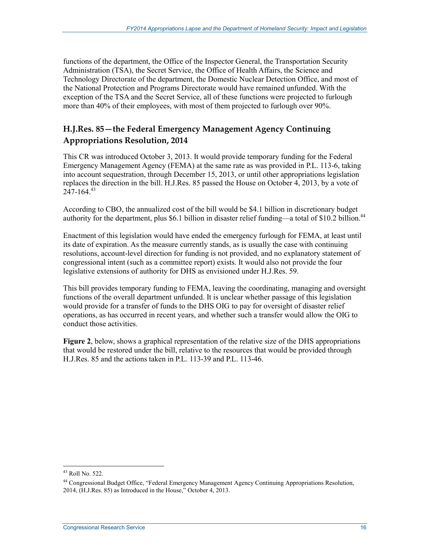functions of the department, the Office of the Inspector General, the Transportation Security Administration (TSA), the Secret Service, the Office of Health Affairs, the Science and Technology Directorate of the department, the Domestic Nuclear Detection Office, and most of the National Protection and Programs Directorate would have remained unfunded. With the exception of the TSA and the Secret Service, all of these functions were projected to furlough more than 40% of their employees, with most of them projected to furlough over 90%.

## **H.J.Res. 85—the Federal Emergency Management Agency Continuing Appropriations Resolution, 2014**

This CR was introduced October 3, 2013. It would provide temporary funding for the Federal Emergency Management Agency (FEMA) at the same rate as was provided in P.L. 113-6, taking into account sequestration, through December 15, 2013, or until other appropriations legislation replaces the direction in the bill. H.J.Res. 85 passed the House on October 4, 2013, by a vote of  $247 - 164.<sup>43</sup>$ 

According to CBO, the annualized cost of the bill would be \$4.1 billion in discretionary budget authority for the department, plus \$6.1 billion in disaster relief funding—a total of \$10.2 billion.<sup>44</sup>

Enactment of this legislation would have ended the emergency furlough for FEMA, at least until its date of expiration. As the measure currently stands, as is usually the case with continuing resolutions, account-level direction for funding is not provided, and no explanatory statement of congressional intent (such as a committee report) exists. It would also not provide the four legislative extensions of authority for DHS as envisioned under H.J.Res. 59.

This bill provides temporary funding to FEMA, leaving the coordinating, managing and oversight functions of the overall department unfunded. It is unclear whether passage of this legislation would provide for a transfer of funds to the DHS OIG to pay for oversight of disaster relief operations, as has occurred in recent years, and whether such a transfer would allow the OIG to conduct those activities.

**Figure 2**, below, shows a graphical representation of the relative size of the DHS appropriations that would be restored under the bill, relative to the resources that would be provided through H.J.Res. 85 and the actions taken in P.L. 113-39 and P.L. 113-46.

<sup>43</sup> Roll No. 522.

<sup>44</sup> Congressional Budget Office, "Federal Emergency Management Agency Continuing Appropriations Resolution, 2014, (H.J.Res. 85) as Introduced in the House," October 4, 2013.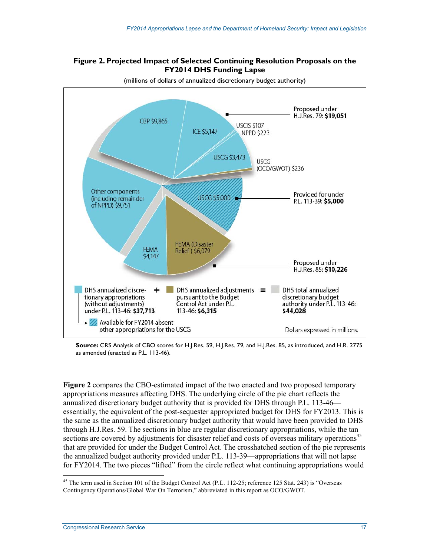#### **Figure 2. Projected Impact of Selected Continuing Resolution Proposals on the FY2014 DHS Funding Lapse**



(millions of dollars of annualized discretionary budget authority)

**Source:** CRS Analysis of CBO scores for H.J.Res. 59, H.J.Res. 79, and H.J.Res. 85, as introduced, and H.R. 2775 as amended (enacted as P.L. 113-46).

**Figure 2** compares the CBO-estimated impact of the two enacted and two proposed temporary appropriations measures affecting DHS. The underlying circle of the pie chart reflects the annualized discretionary budget authority that is provided for DHS through P.L. 113-46 essentially, the equivalent of the post-sequester appropriated budget for DHS for FY2013. This is the same as the annualized discretionary budget authority that would have been provided to DHS through H.J.Res. 59. The sections in blue are regular discretionary appropriations, while the tan sections are covered by adjustments for disaster relief and costs of overseas military operations<sup>45</sup> that are provided for under the Budget Control Act. The crosshatched section of the pie represents the annualized budget authority provided under P.L. 113-39—appropriations that will not lapse for FY2014. The two pieces "lifted" from the circle reflect what continuing appropriations would

<sup>&</sup>lt;sup>45</sup> The term used in Section 101 of the Budget Control Act (P.L. 112-25; reference 125 Stat. 243) is "Overseas Contingency Operations/Global War On Terrorism," abbreviated in this report as OCO/GWOT.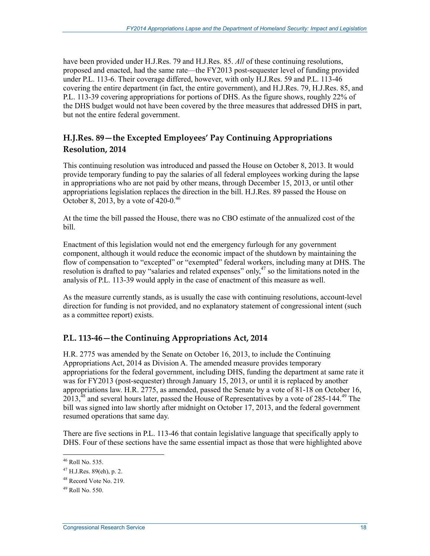have been provided under H.J.Res. 79 and H.J.Res. 85. *All* of these continuing resolutions, proposed and enacted, had the same rate—the FY2013 post-sequester level of funding provided under P.L. 113-6. Their coverage differed, however, with only H.J.Res. 59 and P.L. 113-46 covering the entire department (in fact, the entire government), and H.J.Res. 79, H.J.Res. 85, and P.L. 113-39 covering appropriations for portions of DHS. As the figure shows, roughly 22% of the DHS budget would not have been covered by the three measures that addressed DHS in part, but not the entire federal government.

# **H.J.Res. 89—the Excepted Employees' Pay Continuing Appropriations Resolution, 2014**

This continuing resolution was introduced and passed the House on October 8, 2013. It would provide temporary funding to pay the salaries of all federal employees working during the lapse in appropriations who are not paid by other means, through December 15, 2013, or until other appropriations legislation replaces the direction in the bill. H.J.Res. 89 passed the House on October 8, 2013, by a vote of 420-0.<sup>46</sup>

At the time the bill passed the House, there was no CBO estimate of the annualized cost of the bill.

Enactment of this legislation would not end the emergency furlough for any government component, although it would reduce the economic impact of the shutdown by maintaining the flow of compensation to "excepted" or "exempted" federal workers, including many at DHS. The resolution is drafted to pay "salaries and related expenses" only,<sup>47</sup> so the limitations noted in the analysis of P.L. 113-39 would apply in the case of enactment of this measure as well.

As the measure currently stands, as is usually the case with continuing resolutions, account-level direction for funding is not provided, and no explanatory statement of congressional intent (such as a committee report) exists.

## **P.L. 113-46—the Continuing Appropriations Act, 2014**

H.R. 2775 was amended by the Senate on October 16, 2013, to include the Continuing Appropriations Act, 2014 as Division A. The amended measure provides temporary appropriations for the federal government, including DHS, funding the department at same rate it was for FY2013 (post-sequester) through January 15, 2013, or until it is replaced by another appropriations law. H.R. 2775, as amended, passed the Senate by a vote of 81-18 on October 16,  $2013<sup>48</sup>$  and several hours later, passed the House of Representatives by a vote of 285-144.<sup>49</sup> The bill was signed into law shortly after midnight on October 17, 2013, and the federal government resumed operations that same day.

There are five sections in P.L. 113-46 that contain legislative language that specifically apply to DHS. Four of these sections have the same essential impact as those that were highlighted above

<sup>46</sup> Roll No. 535.

 $47$  H.J.Res. 89(eh), p. 2.

<sup>48</sup> Record Vote No. 219.

 $^{49}$  Roll No. 550.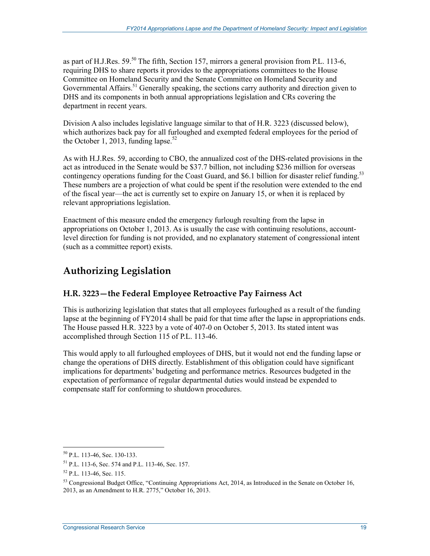as part of H.J.Res.  $59^{50}$  The fifth, Section 157, mirrors a general provision from P.L. 113-6, requiring DHS to share reports it provides to the appropriations committees to the House Committee on Homeland Security and the Senate Committee on Homeland Security and Governmental Affairs.<sup>51</sup> Generally speaking, the sections carry authority and direction given to DHS and its components in both annual appropriations legislation and CRs covering the department in recent years.

Division A also includes legislative language similar to that of H.R. 3223 (discussed below), which authorizes back pay for all furloughed and exempted federal employees for the period of the October 1, 2013, funding lapse.<sup>52</sup>

As with H.J.Res. 59, according to CBO, the annualized cost of the DHS-related provisions in the act as introduced in the Senate would be \$37.7 billion, not including \$236 million for overseas contingency operations funding for the Coast Guard, and \$6.1 billion for disaster relief funding.<sup>53</sup> These numbers are a projection of what could be spent if the resolution were extended to the end of the fiscal year—the act is currently set to expire on January 15, or when it is replaced by relevant appropriations legislation.

Enactment of this measure ended the emergency furlough resulting from the lapse in appropriations on October 1, 2013. As is usually the case with continuing resolutions, accountlevel direction for funding is not provided, and no explanatory statement of congressional intent (such as a committee report) exists.

# **Authorizing Legislation**

## **H.R. 3223—the Federal Employee Retroactive Pay Fairness Act**

This is authorizing legislation that states that all employees furloughed as a result of the funding lapse at the beginning of FY2014 shall be paid for that time after the lapse in appropriations ends. The House passed H.R. 3223 by a vote of 407-0 on October 5, 2013. Its stated intent was accomplished through Section 115 of P.L. 113-46.

This would apply to all furloughed employees of DHS, but it would not end the funding lapse or change the operations of DHS directly. Establishment of this obligation could have significant implications for departments' budgeting and performance metrics. Resources budgeted in the expectation of performance of regular departmental duties would instead be expended to compensate staff for conforming to shutdown procedures.

<sup>50</sup> P.L. 113-46, Sec. 130-133.

<sup>51</sup> P.L. 113-6, Sec. 574 and P.L. 113-46, Sec. 157.

<sup>52</sup> P.L. 113-46, Sec. 115.

<sup>&</sup>lt;sup>53</sup> Congressional Budget Office, "Continuing Appropriations Act, 2014, as Introduced in the Senate on October 16, 2013, as an Amendment to H.R. 2775," October 16, 2013.